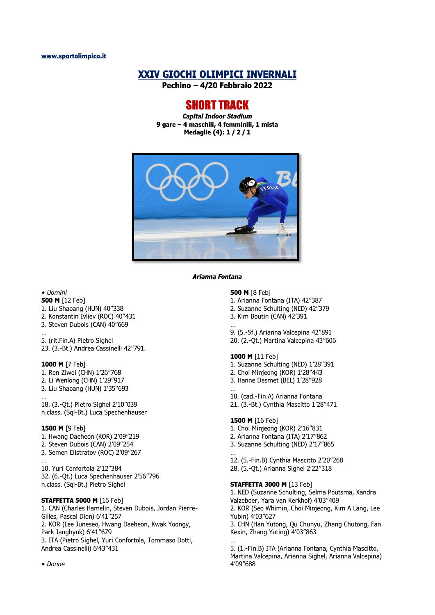# **XXIV GIOCHI OLIMPICI INVERNALI**

**Pechino – 4/20 Febbraio 2022**

# SHORT TRACK

*Capital Indoor Stadium* **9 gare – 4 maschili, 4 femminili, 1 mista Medaglie (4): 1 / 2 / 1**



*Arianna Fontana*

# *• Uomini*

- **500 M** [12 Feb]
- 1. Liu Shaoang (HUN) 40"338
- 2. Konstantin Ivliev (ROC) 40"431
- 3. Steven Dubois (CAN) 40"669
- … 5. (rit.Fin.A) Pietro Sighel 23. (3.-Bt.) Andrea Cassinelli 42"791.

#### **1000 M** [7 Feb]

- 1. Ren Ziwei (CHN) 1'26"768 2. Li Wenlong (CHN) 1'29"917 3. Liu Shaoang (HUN) 1'35"693
- … 18. (3.-Qt.) Pietro Sighel 2'10"039 n.class. (Sql-Bt.) Luca Spechenhauser

#### **1500 M** [9 Feb]

- 1. Hwang Daeheon (KOR) 2'09"219
- 2. Steven Dubois (CAN) 2'09"254
- 3. Semen Elistratov (ROC) 2'09"267

… 10. Yuri Confortola 2'12"384 32. (6.-Qt.) Luca Spechenhauser 2'56"796 n.class. (Sql-Bt.) Pietro Sighel

## **STAFFETTA 5000 M** [16 Feb]

1. CAN (Charles Hamelin, Steven Dubois, Jordan Pierre-Gilles, Pascal Dion) 6'41"257 2. KOR (Lee Juneseo, Hwang Daeheon, Kwak Yoongy, Park Janghyuk) 6'41"679 3. ITA (Pietro Sighel, Yuri Confortola, Tommaso Dotti, Andrea Cassinelli) 6'43"431

#### **500 M** [8 Feb]

- 1. Arianna Fontana (ITA) 42"387
- 2. Suzanne Schulting (NED) 42"379
- 3. Kim Boutin (CAN) 42'391
- …
- 9. (5.-Sf.) Arianna Valcepina 42"891 20. (2.-Qt.) Martina Valcepina 43"606

### **1000 M** [11 Feb]

- 1. Suzanne Schulting (NED) 1'28"391
- 2. Choi Minjeong (KOR) 1'28"443
- 3. Hanne Desmet (BEL) 1'28"928
- … 10. (cad.-Fin.A) Arianna Fontana
- 21. (3.-Bt.) Cynthia Mascitto 1'28"471

#### **1500 M** [16 Feb]

- 1. Choi Minjeong (KOR) 2'16"831
- 2. Arianna Fontana (ITA) 2'17"862
- 3. Suzanne Schulting (NED) 2'17"865
- … 12. (5.-Fin.B) Cynthia Mascitto 2'20"268 28. (5.-Qt.) Arianna Sighel 2'22"318

# **STAFFETTA 3000 M** [13 Feb]

1. NED (Suzanne Schulting, Selma Poutsma, Xandra Valzeboer, Yara van Kerkhof) 4'03"409 2. KOR (Seo Whimin, Choi Minjeong, Kim A Lang, Lee Yubin) 4'03"627 3. CHN (Han Yutong, Qu Chunyu, Zhang Chutong, Fan Kexin, Zhang Yuting) 4'03"863 …

5. (1.-Fin.B) ITA (Arianna Fontana, Cynthia Mascitto, Martina Valcepina, Arianna Sighel, Arianna Valcepina) 4'09"688

*• Donne*